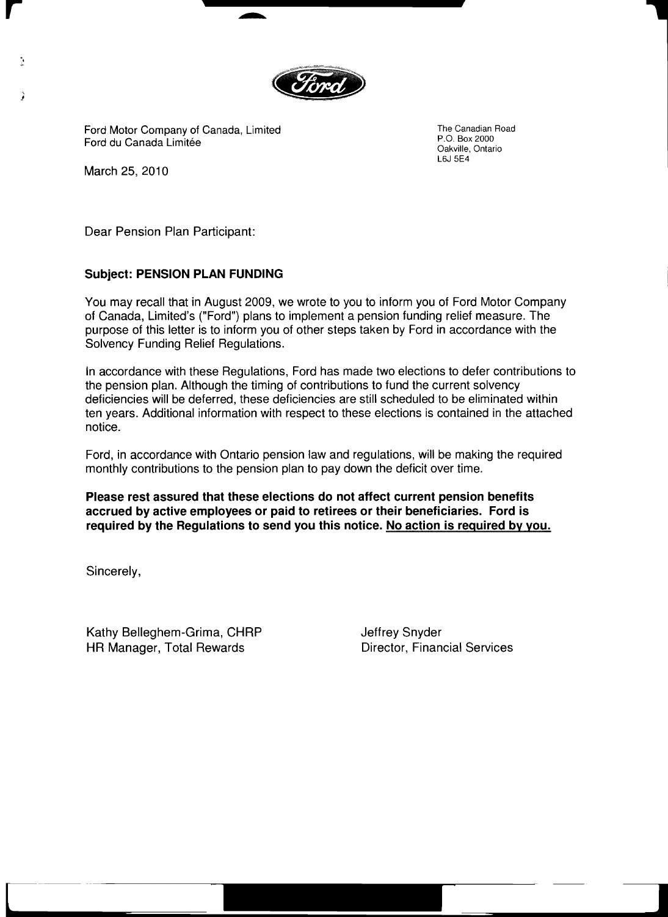

 $\overline{\phantom{a}}$ ٦

Ford Motor Company of Canada, Limited The Canadian Road<br>
Ford du Canada Limitée Canadian Road<br>
Ford du Canada Limitée P.O. Box 2000<br>
P.O. Box 2000<br>
Oakville, Ontario

L6J 5E4

March 25, 2010

 $\mathcal{L}$ 

-.

;

Dear Pension Plan Participant:

# SUbject: PENSION PLAN FUNDING

You may recall that in August 2009, we wrote to you to inform you of Ford Motor Company of Canada, Limited's ("Ford") plans to implement a pension funding relief measure. The purpose of this letter is to inform you of other steps taken by Ford in accordance with the Solvency Funding Relief Regulations.

In accordance with these Regulations, Ford has made two elections to defer contributions to the pension plan. Although the timing of contributions to fund the current solvency deficiencies will be deferred, these deficiencies are still scheduled to be eliminated within ten years. Additional information with respect to these elections is contained in the attached notice.

Ford, in accordance with Ontario pension law and regulations, will be making the required monthly contributions to the pension plan to pay down the deficit over time.

Please rest assured that these elections do not affect current pension benefits accrued by active employees or paid to retirees or their beneficiaries. Ford is required by the Regulations to send you this notice. No action is required by you.

c---- . **<sup>l</sup>**

Sincerely,

Kathy Belleghem-Grima, CHRP Superland Unit are defined Shyder HR Manager, Total Rewards **Director, Financial Services**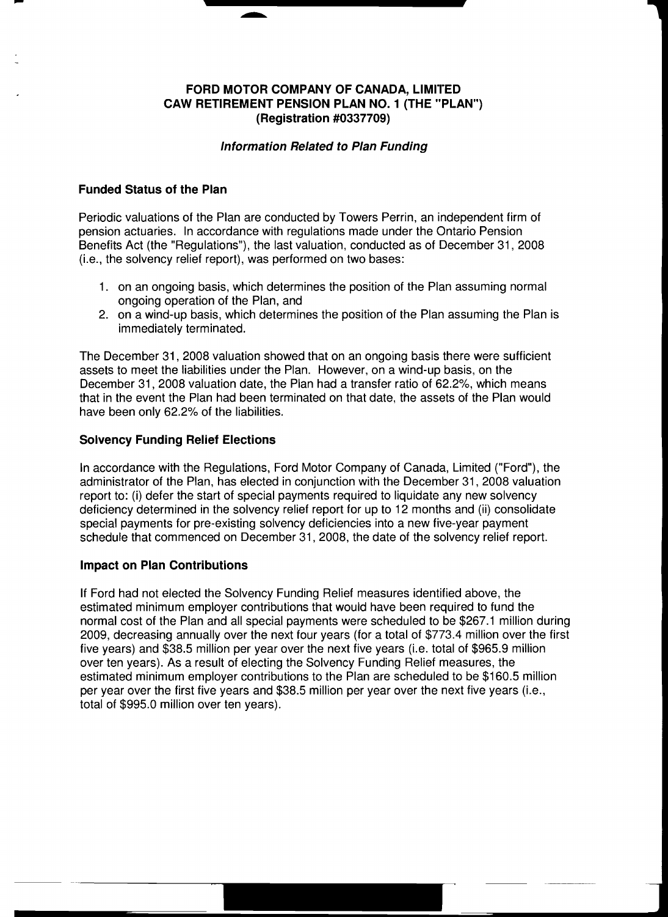## FORD MOTOR COMPANY OF CANADA, LIMITED CAW RETIREMENT PENSION PLAN NO.1 (THE "PLAN") (Registration #0337709)

### Information Related to Plan Funding

## Funded Status of the Plan

- ....-....

Periodic valuations of the Plan are conducted by Towers Perrin, an independent firm of pension actuaries. In accordance with regulations made under the Ontario Pension Benefits Act (the "Regulations"), the last valuation, conducted as of December 31, 2008 (i.e., the solvency relief report), was performed on two bases:

- 1. on an ongoing basis, which determines the position of the Plan assuming normal ongoing operation of the Plan, and
- 2. on a wind-up basis, which determines the position of the Plan assuming the Plan is immediately terminated.

The December 31,2008 valuation showed that on an ongoing basis there were sufficient assets to meet the liabilities under the Plan. However, on a wind-up basis, on the December 31,2008 valuation date, the Plan had a transfer ratio of 62.2%, which means that in the event the Plan had been terminated on that date, the assets of the Plan would have been only 62.2% of the liabilities.

## Solvency Funding Relief Elections

In accordance with the Regulations, Ford Motor Company of Canada, Limited ("Ford"), the administrator of the Plan, has elected in conjunction with the December 31, 2008 valuation report to: (i) defer the start of special payments required to liquidate any new solvency deficiency determined in the solvency relief report for up to 12 months and (ii) consolidate special payments for pre-existing solvency deficiencies into a new five-year payment schedule that commenced on December 31, 2008, the date of the solvency relief report.

#### Impact on Plan Contributions

If Ford had not elected the Solvency Funding Relief measures identified above, the estimated minimum employer contributions that would have been required to fund the normal cost of the Plan and all special payments were scheduled to be \$267.1 million during 2009, decreasing annually over the next four years (for a total of \$773.4 million over the first five years) and \$38.5 million per year over the next five years (i.e. total of \$965.9 million over ten years). As a result of electing the Solvency Funding Relief measures, the estimated minimum employer contributions to the Plan are scheduled to be \$160.5 million per year over the first five years and \$38.5 million per year over the next five years (i.e., total of \$995.0 million over ten years).